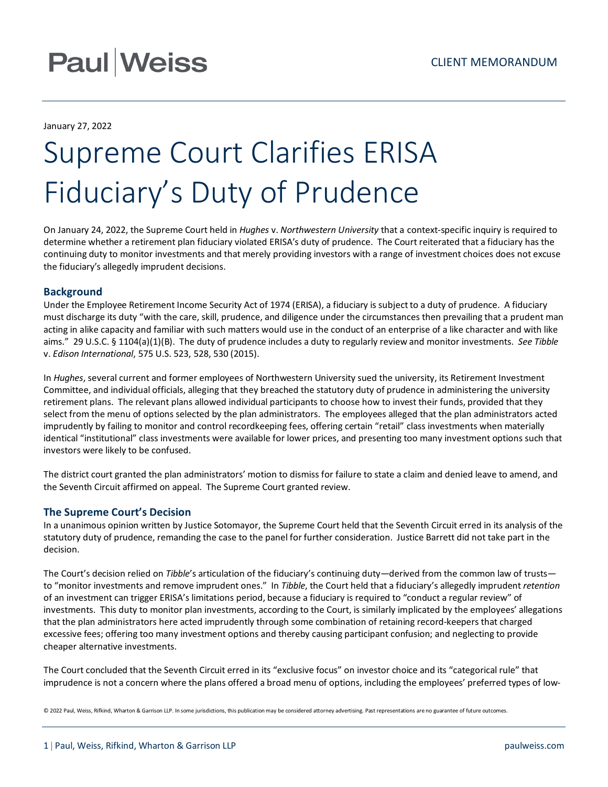## **Paul Weiss**

January 27, 2022

# Supreme Court Clarifies ERISA Fiduciary's Duty of Prudence

On January 24, 2022, the Supreme Court held in *Hughes* v. *Northwestern University* that a context-specific inquiry is required to determine whether a retirement plan fiduciary violated ERISA's duty of prudence. The Court reiterated that a fiduciary has the continuing duty to monitor investments and that merely providing investors with a range of investment choices does not excuse the fiduciary's allegedly imprudent decisions.

### **Background**

Under the Employee Retirement Income Security Act of 1974 (ERISA), a fiduciary is subject to a duty of prudence. A fiduciary must discharge its duty "with the care, skill, prudence, and diligence under the circumstances then prevailing that a prudent man acting in alike capacity and familiar with such matters would use in the conduct of an enterprise of a like character and with like aims." 29 U.S.C. § 1104(a)(1)(B). The duty of prudence includes a duty to regularly review and monitor investments. *See Tibble* v. *Edison International*, 575 U.S. 523, 528, 530 (2015).

In *Hughes*, several current and former employees of Northwestern University sued the university, its Retirement Investment Committee, and individual officials, alleging that they breached the statutory duty of prudence in administering the university retirement plans. The relevant plans allowed individual participants to choose how to invest their funds, provided that they select from the menu of options selected by the plan administrators. The employees alleged that the plan administrators acted imprudently by failing to monitor and control recordkeeping fees, offering certain "retail" class investments when materially identical "institutional" class investments were available for lower prices, and presenting too many investment options such that investors were likely to be confused.

The district court granted the plan administrators' motion to dismiss for failure to state a claim and denied leave to amend, and the Seventh Circuit affirmed on appeal. The Supreme Court granted review.

### **The Supreme Court's Decision**

In a unanimous opinion written by Justice Sotomayor, the Supreme Court held that the Seventh Circuit erred in its analysis of the statutory duty of prudence, remanding the case to the panel for further consideration. Justice Barrett did not take part in the decision.

The Court's decision relied on *Tibble*'s articulation of the fiduciary's continuing duty—derived from the common law of trusts to "monitor investments and remove imprudent ones." In *Tibble*, the Court held that a fiduciary's allegedly imprudent *retention* of an investment can trigger ERISA's limitations period, because a fiduciary is required to "conduct a regular review" of investments. This duty to monitor plan investments, according to the Court, is similarly implicated by the employees' allegations that the plan administrators here acted imprudently through some combination of retaining record-keepers that charged excessive fees; offering too many investment options and thereby causing participant confusion; and neglecting to provide cheaper alternative investments.

The Court concluded that the Seventh Circuit erred in its "exclusive focus" on investor choice and its "categorical rule" that imprudence is not a concern where the plans offered a broad menu of options, including the employees' preferred types of low-

© 2022 Paul, Weiss, Rifkind, Wharton & Garrison LLP. In some jurisdictions, this publication may be considered attorney advertising. Past representations are no guarantee of future outcomes.